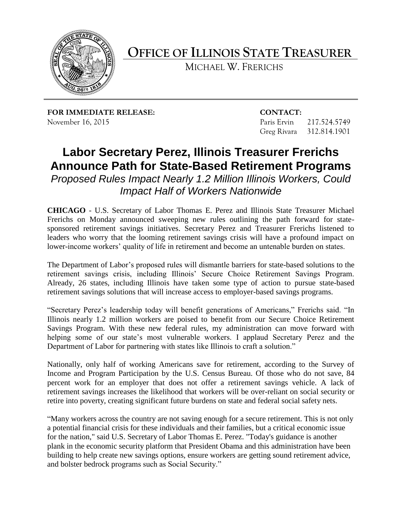

**OFFICE OF ILLINOIS STATE TREASURER**

MICHAEL W. FRERICHS

**FOR IMMEDIATE RELEASE: CONTACT:** November 16, 2015 Paris Ervin 217.524.5749

Greg Rivara 312.814.1901

## **Labor Secretary Perez, Illinois Treasurer Frerichs Announce Path for State-Based Retirement Programs**

*Proposed Rules Impact Nearly 1.2 Million Illinois Workers, Could Impact Half of Workers Nationwide*

**CHICAGO** - U.S. Secretary of Labor Thomas E. Perez and Illinois State Treasurer Michael Frerichs on Monday announced sweeping new rules outlining the path forward for statesponsored retirement savings initiatives. Secretary Perez and Treasurer Frerichs listened to leaders who worry that the looming retirement savings crisis will have a profound impact on lower-income workers' quality of life in retirement and become an untenable burden on states.

The Department of Labor's proposed rules will dismantle barriers for state-based solutions to the retirement savings crisis, including Illinois' Secure Choice Retirement Savings Program. Already, 26 states, including Illinois have taken some type of action to pursue state-based retirement savings solutions that will increase access to employer-based savings programs.

"Secretary Perez's leadership today will benefit generations of Americans," Frerichs said. "In Illinois nearly 1.2 million workers are poised to benefit from our Secure Choice Retirement Savings Program. With these new federal rules, my administration can move forward with helping some of our state's most vulnerable workers. I applaud Secretary Perez and the Department of Labor for partnering with states like Illinois to craft a solution."

Nationally, only half of working Americans save for retirement, according to the Survey of Income and Program Participation by the U.S. Census Bureau. Of those who do not save, 84 percent work for an employer that does not offer a retirement savings vehicle. A lack of retirement savings increases the likelihood that workers will be over-reliant on social security or retire into poverty, creating significant future burdens on state and federal social safety nets.

"Many workers across the country are not saving enough for a secure retirement. This is not only a potential financial crisis for these individuals and their families, but a critical economic issue for the nation," said U.S. Secretary of Labor Thomas E. Perez. "Today's guidance is another plank in the economic security platform that President Obama and this administration have been building to help create new savings options, ensure workers are getting sound retirement advice, and bolster bedrock programs such as Social Security."